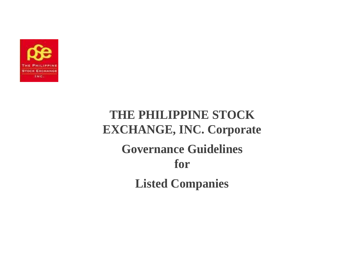

# **THE PHILIPPINE STOCK EXCHANGE, INC. Corporate Governance Guidelines for Listed Companies**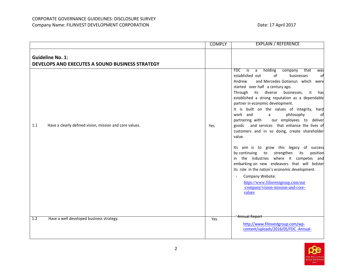|                                                                            | <b>COMPLY</b> | <b>EXPLAIN / REFERENCE</b>                                                                                                                                                                                                                                                                                                                                                                                                                                                                                                                                                                                                                                                                                                                                                                                                                                                                                                                                                          |
|----------------------------------------------------------------------------|---------------|-------------------------------------------------------------------------------------------------------------------------------------------------------------------------------------------------------------------------------------------------------------------------------------------------------------------------------------------------------------------------------------------------------------------------------------------------------------------------------------------------------------------------------------------------------------------------------------------------------------------------------------------------------------------------------------------------------------------------------------------------------------------------------------------------------------------------------------------------------------------------------------------------------------------------------------------------------------------------------------|
| <b>Guideline No. 1:</b><br>DEVELOPS AND EXECUTES A SOUND BUSINESS STRATEGY |               |                                                                                                                                                                                                                                                                                                                                                                                                                                                                                                                                                                                                                                                                                                                                                                                                                                                                                                                                                                                     |
| Have a clearly defined vision, mission and core values.<br>1.1             | Yes           | FDC<br>a holding<br>that<br>$\overline{\mathsf{is}}$<br>company<br>was<br>established out<br>of<br>businesses<br>ofl<br>and Mercedes Gotianun which were<br>Andrew<br>started over half a century ago.<br>diverse<br>businesses, it<br>Through<br>its<br>hasl<br>established a strong reputation as a dependable<br>partner in economic development.<br>It is built on the values of integrity, hard<br>work and<br>$\mathsf{a}$<br>philosophy<br>of<br>our employees to deliver<br>partnering with<br>goods and services that enhance the lives of<br>customers and in so doing, create shareholder<br>value.<br>Its aim is to grow this legacy of success<br>by continuing to<br>strengthen<br>its<br>position<br>in the industries where it competes and<br>embarking on new endeavors that will bolster<br>its role in the nation's economic development.<br>Company Website:<br>$\bullet$<br>https://www.filinvestgroup.com/our<br>-company/vision-mission-and-core-<br>values |
| Have a well developed business strategy.<br>1.2                            | Yes           | Annual Report<br>http://www.filinvestgroup.com/wp-<br>content/uploads/2016/05/FDC-Annual-                                                                                                                                                                                                                                                                                                                                                                                                                                                                                                                                                                                                                                                                                                                                                                                                                                                                                           |

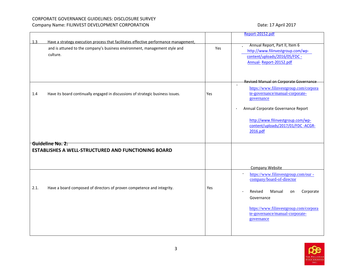|      |                                                                                                                                                                                |     | Report-20152.pdf                                                                                                                                                                                  |
|------|--------------------------------------------------------------------------------------------------------------------------------------------------------------------------------|-----|---------------------------------------------------------------------------------------------------------------------------------------------------------------------------------------------------|
| 1.3  |                                                                                                                                                                                |     |                                                                                                                                                                                                   |
|      | Have a strategy execution process that facilitates effective performance management,<br>and is attuned to the company's business environment, management style and<br>culture. | Yes | Annual Report, Part II, Item 6<br>http://www.filinvestgroup.com/wp-<br>content/uploads/2016/05/FDC -<br>Annual-Report-20152.pdf                                                                   |
|      |                                                                                                                                                                                |     |                                                                                                                                                                                                   |
| 1.4  | Have its board continually engaged in discussions of strategic business issues.                                                                                                | Yes | Revised Manual on Corporate Governance<br>$\bullet$<br>https://www.filinvestgroup.com/corpora<br>te-governance/manual-corporate-<br>governance<br>Annual Corporate Governance Report<br>$\bullet$ |
|      | Guideline No. 2:                                                                                                                                                               |     | http://www.filinvestgroup.com/wp-<br>content/uploads/2017/01/FDC-ACGR-<br>2016.pdf                                                                                                                |
|      |                                                                                                                                                                                |     |                                                                                                                                                                                                   |
|      | <b>ESTABLISHES A WELL-STRUCTURED AND FUNCTIONING BOARD</b>                                                                                                                     |     | Company Website                                                                                                                                                                                   |
| 2.1. | Have a board composed of directors of proven competence and integrity.                                                                                                         | Yes | https://www.filinvestgroup.com/our -<br>$\bullet$<br>company/board-of-director<br>Revised<br>Manual<br>Corporate<br>on                                                                            |
|      |                                                                                                                                                                                |     | Governance<br>https://www.filinvestgroup.com/corpora<br>te-governance/manual-corporate-<br>governance                                                                                             |

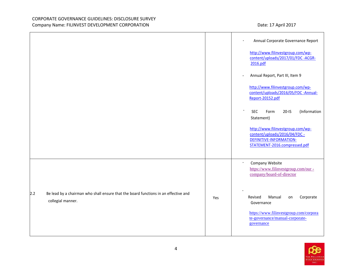|                                                                                                                 |     | Annual Corporate Governance Report<br>$\bullet$                                                                                 |
|-----------------------------------------------------------------------------------------------------------------|-----|---------------------------------------------------------------------------------------------------------------------------------|
|                                                                                                                 |     | http://www.filinvestgroup.com/wp-<br>content/uploads/2017/01/FDC -ACGR-<br>2016.pdf                                             |
|                                                                                                                 |     | Annual Report, Part III, Item 9                                                                                                 |
|                                                                                                                 |     | http://www.filinvestgroup.com/wp-<br>content/uploads/2016/05/FDC -Annual-<br>Report-20152.pdf                                   |
|                                                                                                                 |     | $\bullet$<br><b>SEC</b><br>$20-IS$<br>(Information<br>Form<br>Statement)                                                        |
|                                                                                                                 |     | http://www.filinvestgroup.com/wp-<br>content/uploads/2016/04/FDC -<br>DEFINITIVE-INFORMATION-<br>STATEMENT-2016.compressed.pdf  |
|                                                                                                                 |     | Company Website<br>$\bullet$<br>https://www.filinvestgroup.com/our-<br>company/board-of-director                                |
| 2.2<br>Be lead by a chairman who shall ensure that the board functions in an effective and<br>collegial manner. | Yes | Corporate<br>Revised<br>Manual<br>on<br>Governance<br>https://www.filinvestgroup.com/corpora<br>te-governance/manual-corporate- |
|                                                                                                                 |     | governance                                                                                                                      |

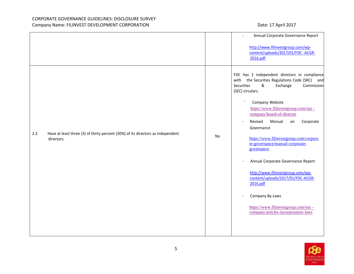|     |                                                                                               |           | Annual Corporate Governance Report                                                                                                                                                                                                                                                                                                                                                                                                                                                                                                                                                                                                                                 |
|-----|-----------------------------------------------------------------------------------------------|-----------|--------------------------------------------------------------------------------------------------------------------------------------------------------------------------------------------------------------------------------------------------------------------------------------------------------------------------------------------------------------------------------------------------------------------------------------------------------------------------------------------------------------------------------------------------------------------------------------------------------------------------------------------------------------------|
|     |                                                                                               |           | http://www.filinvestgroup.com/wp-<br>content/uploads/2017/01/FDC-ACGR-<br>2016.pdf                                                                                                                                                                                                                                                                                                                                                                                                                                                                                                                                                                                 |
| 2.3 | Have at least three (3) of thirty percent (30%) of its directors as independent<br>directors. | <b>No</b> | FDC has 2 independent directors in compliance<br>the Securities Regulations Code (SRC) and<br>with<br>Securities<br>&<br>Commission<br>Exchange<br>(SEC) circulars.<br>$\bullet$<br>Company Website<br>https://www.filinvestgroup.com/our-<br>company/board-of-director<br>Revised<br>Manual<br>Corporate<br>on<br>$\bullet$<br>Governance<br>https://www.filinvestgroup.com/corpora<br>te-governance/manual-corporate-<br>governance<br>Annual Corporate Governance Report<br>http://www.filinvestgroup.com/wp-<br>content/uploads/2017/01/FDC-ACGR-<br>2016.pdf<br>Company By-Laws<br>https://www.filinvestgroup.com/our-<br>company/articles-incorporation-laws |

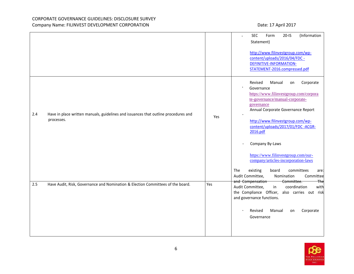|     |                                                                                                   |     | (Information<br><b>SEC</b><br>Form<br>$20 - IS$<br>Statement)<br>http://www.filinvestgroup.com/wp-<br>content/uploads/2016/04/FDC -<br>DEFINITIVE-INFORMATION-<br>STATEMENT-2016.compressed.pdf                                                                                                                                                                                                                                                                             |
|-----|---------------------------------------------------------------------------------------------------|-----|-----------------------------------------------------------------------------------------------------------------------------------------------------------------------------------------------------------------------------------------------------------------------------------------------------------------------------------------------------------------------------------------------------------------------------------------------------------------------------|
| 2.4 | Have in place written manuals, guidelines and issuances that outline procedures and<br>processes. | Yes | Corporate<br>Revised<br>Manual<br>on<br>Governance<br>https://www.filinvestgroup.com/corpora<br>te-governance/manual-corporate-<br>governance<br>Annual Corporate Governance Report<br>http://www.filinvestgroup.com/wp-<br>content/uploads/2017/01/FDC-ACGR-<br>2016.pdf<br>Company By-Laws<br>https://www.filinvestgroup.com/our-<br>company/articles-incorporation-laws<br>existing<br>board<br>committees<br>The<br>are:<br>Audit Committee,<br>Nomination<br>Committee |
| 2.5 | Have Audit, Risk, Governance and Nomination & Election Committees of the board.                   | Yes | H <sub>he</sub><br>and Compensation<br>Committee.<br>Audit Committee,<br>coordination<br>in<br>with<br>the Compliance Officer, also carries out risk<br>and governance functions.<br>Revised<br>Manual<br>Corporate<br>on<br>Governance                                                                                                                                                                                                                                     |

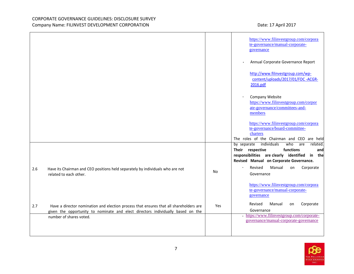|                                                                                                                 |     | https://www.filinvestgroup.com/corpora<br>te-governance/manual-corporate-<br>governance                                            |
|-----------------------------------------------------------------------------------------------------------------|-----|------------------------------------------------------------------------------------------------------------------------------------|
|                                                                                                                 |     | Annual Corporate Governance Report                                                                                                 |
|                                                                                                                 |     | http://www.filinvestgroup.com/wp-<br>content/uploads/2017/01/FDC -ACGR-<br>2016.pdf                                                |
|                                                                                                                 |     | Company Website<br>https://www.filinvestgroup.com/corpor<br>ate-governance/committees-and-<br>members                              |
|                                                                                                                 |     | https://www.filinvestgroup.com/corpora<br>te-governance/board-committee-<br>charters<br>The roles of the Chairman and CEO are held |
|                                                                                                                 |     | individuals<br>who<br>related.<br>by separate<br>are<br>functions<br>Their respective<br>and                                       |
|                                                                                                                 |     | responsibilities are clearly identified in the<br>Revised Manual on Corporate Governance.                                          |
| 2.6<br>Have its Chairman and CEO positions held separately by individuals who are not<br>related to each other. | No  | Revised<br>Manual<br>Corporate<br>$\bullet$ .<br>on<br>Governance                                                                  |
|                                                                                                                 |     | https://www.filinvestgroup.com/corpora<br>te-governance/manual-corporate-<br>governance                                            |
| 2.7<br>Have a director nomination and election process that ensures that all shareholders are                   | Yes | Corporate<br>Revised<br>Manual<br>on                                                                                               |
| given the opportunity to nominate and elect directors individually based on the                                 |     | Governance<br>· https://www.filinvestgroup.com/corporate-                                                                          |
| number of shares voted.                                                                                         |     | governance/manual-corporate-governance                                                                                             |

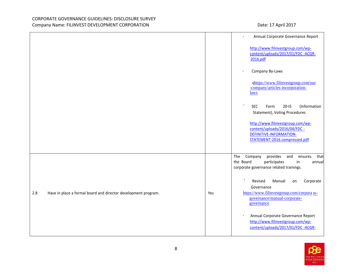|     |                                                                |     | Annual Corporate Governance Report<br>$\bullet$                                                                                                             |
|-----|----------------------------------------------------------------|-----|-------------------------------------------------------------------------------------------------------------------------------------------------------------|
|     |                                                                |     | http://www.filinvestgroup.com/wp-<br>content/uploads/2017/01/FDC-ACGR-<br>2016.pdf                                                                          |
|     |                                                                |     | Company By-Laws                                                                                                                                             |
|     |                                                                |     | qhttps://www.filinvestgroup.com/our<br>-company/articles-incorporation-<br>laws                                                                             |
|     |                                                                |     | <b>SEC</b><br>$20-IS$<br>(Information<br>Form<br>Statement), Voting Procedures                                                                              |
|     |                                                                |     | http://www.filinvestgroup.com/wp-<br>content/uploads/2016/04/FDC -<br><b>DEFINITIVE-INFORMATION-</b><br>STATEMENT-2016.compressed.pdf                       |
|     |                                                                |     | provides<br>The<br>Company<br>that<br>and<br>ensures<br>the Board<br>participates<br>in<br>annual<br>corporate governance related trainings.                |
| 2.8 | Have in place a formal board and director development program. | Yes | $\bullet$<br>Corporate<br>Revised<br>Manual<br>on<br>Governance<br>https://www.filinvestgroup.com/corpora te-<br>governance/manual-corporate-<br>governance |
|     |                                                                |     | Annual Corporate Governance Report<br>http://www.filinvestgroup.com/wp-<br>content/uploads/2017/01/FDC -ACGR-                                               |

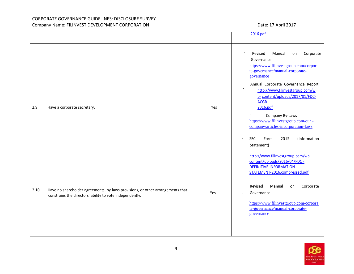|      |                                                                                                                                            |     | 2016.pdf                                                                                                                                                                                                                                                                                                                                                                        |
|------|--------------------------------------------------------------------------------------------------------------------------------------------|-----|---------------------------------------------------------------------------------------------------------------------------------------------------------------------------------------------------------------------------------------------------------------------------------------------------------------------------------------------------------------------------------|
|      |                                                                                                                                            |     |                                                                                                                                                                                                                                                                                                                                                                                 |
| 2.9  | Have a corporate secretary.                                                                                                                | Yes | Revised<br>Manual<br>Corporate<br>on<br>Governance<br>https://www.filinvestgroup.com/corpora<br>te-governance/manual-corporate-<br>governance<br>Annual Corporate Governance Report<br>http://www.filinvestgroup.com/w<br>p- content/uploads/2017/01/FDC-<br>ACGR-<br>2016.pdf<br>Company By-Laws<br>https://www.filinvestgroup.com/our-<br>company/articles-incorporation-laws |
|      |                                                                                                                                            |     | <b>SEC</b><br>Form<br>$20-IS$<br>(Information<br>$\bullet$<br>Statement)<br>http://www.filinvestgroup.com/wp-<br>content/uploads/2016/04/FDC -<br>DEFINITIVE-INFORMATION-<br>STATEMENT-2016.compressed.pdf<br>Revised<br>Manual<br>Corporate<br>on                                                                                                                              |
| 2.10 | Have no shareholder agreements, by-laws provisions, or other arrangements that<br>constrains the directors' ability to vote independently. | Yes | Governance<br>https://www.filinvestgroup.com/corpora<br>te-governance/manual-corporate-<br>governance                                                                                                                                                                                                                                                                           |

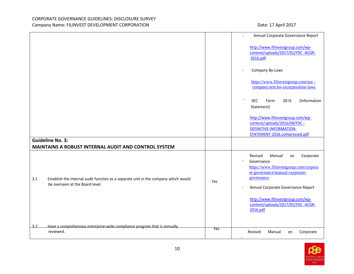|     |                                                                                                                        |            | Annual Corporate Governance Report                                                                                                                                                                                                                             |
|-----|------------------------------------------------------------------------------------------------------------------------|------------|----------------------------------------------------------------------------------------------------------------------------------------------------------------------------------------------------------------------------------------------------------------|
|     |                                                                                                                        |            | http://www.filinvestgroup.com/wp-<br>content/uploads/2017/01/FDC -ACGR-<br>2016.pdf                                                                                                                                                                            |
|     |                                                                                                                        |            | Company By-Laws                                                                                                                                                                                                                                                |
|     |                                                                                                                        |            | https://www.filinvestgroup.com/our-<br>company/articles-incorporation-laws                                                                                                                                                                                     |
|     |                                                                                                                        |            | $\bullet$<br>(Information<br><b>SEC</b><br>$20-IS$<br>Form<br>Statement)                                                                                                                                                                                       |
|     |                                                                                                                        |            | http://www.filinvestgroup.com/wp-<br>content/uploads/2016/04/FDC -<br>DEFINITIVE-INFORMATION-<br>STATEMENT-2016.compressed.pdf                                                                                                                                 |
|     | <b>Guideline No. 3:</b><br>MAINTAINS A ROBUST INTERNAL AUDIT AND CONTROL SYSTEM                                        |            |                                                                                                                                                                                                                                                                |
| 3.1 | Establish the internal audit function as a separate unit in the company which would<br>be overseen at the Board level. | Yes        | Corporate<br>Revised<br>Manual<br>on<br>Governance<br>https://www.filinvestgroup.com/corpora<br>te-governance/manual-corporate-<br>governance<br>Annual Corporate Governance Report<br>http://www.filinvestgroup.com/wp-<br>content/uploads/2017/01/FDC -ACGR- |
| 3.2 | Have a comprehensive enterprise-wide compliance program that is annually<br>reviewed.                                  | <b>Yes</b> | 2016.pdf<br>Revised<br>Manual<br>Corporate<br>on                                                                                                                                                                                                               |

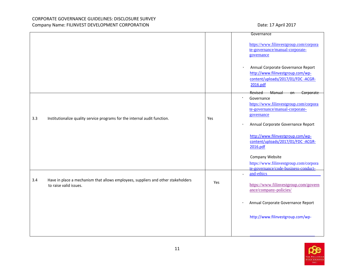|     |                                                                                                             |     | Governance                                                                                                                                                                                |
|-----|-------------------------------------------------------------------------------------------------------------|-----|-------------------------------------------------------------------------------------------------------------------------------------------------------------------------------------------|
|     |                                                                                                             |     | https://www.filinvestgroup.com/corpora<br>te-governance/manual-corporate-<br>governance                                                                                                   |
|     |                                                                                                             |     | Annual Corporate Governance Report<br>$\bullet$<br>http://www.filinvestgroup.com/wp-<br>content/uploads/2017/01/FDC -ACGR-<br>2016.pdf                                                    |
| 3.3 | Institutionalize quality service programs for the internal audit function.                                  | Yes | Revised –<br><b>Manual</b><br>on Corporate<br>Governance<br>https://www.filinvestgroup.com/corpora<br>te-governance/manual-corporate-<br>governance<br>Annual Corporate Governance Report |
|     |                                                                                                             |     | http://www.filinvestgroup.com/wp-<br>content/uploads/2017/01/FDC -ACGR-<br>2016.pdf<br>Company Website<br>https://www.filinvestgroup.com/corpora<br>te-governance/code-business-conduct-  |
| 3.4 | Have in place a mechanism that allows employees, suppliers and other stakeholders<br>to raise valid issues. | Yes | and-ethics<br>$\ddot{\phantom{1}}$<br>https://www.filinvestgroup.com/govern<br>ance/company-policies/                                                                                     |
|     |                                                                                                             |     | Annual Corporate Governance Report                                                                                                                                                        |
|     |                                                                                                             |     | http://www.filinvestgroup.com/wp-                                                                                                                                                         |

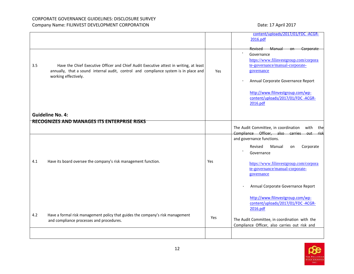|     |                                                                                                                            |     | content/uploads/2017/01/FDC -ACGR-<br>2016.pdf                         |
|-----|----------------------------------------------------------------------------------------------------------------------------|-----|------------------------------------------------------------------------|
|     |                                                                                                                            |     |                                                                        |
|     |                                                                                                                            |     | Revised Manual on Corporate<br>Governance                              |
|     |                                                                                                                            |     | https://www.filinvestgroup.com/corpora                                 |
| 3.5 | Have the Chief Executive Officer and Chief Audit Executive attest in writing, at least                                     |     | te-governance/manual-corporate-                                        |
|     | annually, that a sound internal audit, control and compliance system is in place and<br>working effectively.               | Yes | governance                                                             |
|     |                                                                                                                            |     | Annual Corporate Governance Report                                     |
|     |                                                                                                                            |     | http://www.filinvestgroup.com/wp-                                      |
|     |                                                                                                                            |     | content/uploads/2017/01/FDC -ACGR-                                     |
|     |                                                                                                                            |     | 2016.pdf                                                               |
|     | <b>Guideline No. 4:</b>                                                                                                    |     |                                                                        |
|     | RECOGNIZES AND MANAGES ITS ENTERPRISE RISKS                                                                                |     |                                                                        |
|     |                                                                                                                            |     | The Audit Committee, in coordination<br>with<br>thel                   |
|     |                                                                                                                            |     | Compliance Officer, also carries out risk<br>and governance functions. |
|     |                                                                                                                            |     |                                                                        |
|     |                                                                                                                            |     | Revised<br>Corporate<br>Manual<br>on<br>Governance                     |
|     |                                                                                                                            |     |                                                                        |
| 4.1 | Have its board oversee the company's risk management function.                                                             | Yes | https://www.filinvestgroup.com/corpora                                 |
|     |                                                                                                                            |     | te-governance/manual-corporate-<br>governance                          |
|     |                                                                                                                            |     |                                                                        |
|     |                                                                                                                            |     | Annual Corporate Governance Report                                     |
|     |                                                                                                                            |     | http://www.filinvestgroup.com/wp-                                      |
|     |                                                                                                                            |     | content/uploads/2017/01/FDC -ACGR-                                     |
|     |                                                                                                                            |     | 2016.pdf                                                               |
| 4.2 | Have a formal risk management policy that guides the company's risk management<br>and compliance processes and procedures. | Yes | The Audit Committee, in coordination with the                          |
|     |                                                                                                                            |     | Compliance Officer, also carries out risk and                          |
|     |                                                                                                                            |     |                                                                        |
|     |                                                                                                                            |     |                                                                        |

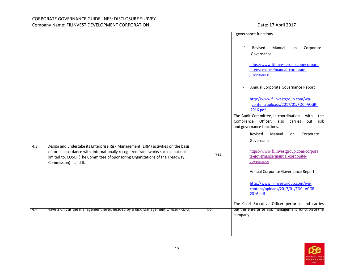|      |                                                                                                                                                                                                                                                                                |     | governance functions.                                                                                                                   |
|------|--------------------------------------------------------------------------------------------------------------------------------------------------------------------------------------------------------------------------------------------------------------------------------|-----|-----------------------------------------------------------------------------------------------------------------------------------------|
|      |                                                                                                                                                                                                                                                                                |     |                                                                                                                                         |
|      |                                                                                                                                                                                                                                                                                |     | Revised<br>Manual<br>Corporate<br>on<br>Governance                                                                                      |
|      |                                                                                                                                                                                                                                                                                |     | https://www.filinvestgroup.com/corpora<br>te-governance/manual-corporate-<br>governance                                                 |
|      |                                                                                                                                                                                                                                                                                |     | Annual Corporate Governance Report                                                                                                      |
|      |                                                                                                                                                                                                                                                                                |     | http://www.filinvestgroup.com/wp-<br>content/uploads/2017/01/FDC -ACGR-<br>2016.pdf                                                     |
|      |                                                                                                                                                                                                                                                                                |     | The Audit Committee, in coordination<br>with<br>thel<br>Compliance Officer, also<br>carries<br>out<br>risk<br>and governance functions. |
|      |                                                                                                                                                                                                                                                                                |     | Revised<br>Manual<br>Corporate<br>$\bullet$<br>on<br>Governance                                                                         |
| 4.3  | Design and undertake its Enterprise Risk Management (ERM) activities on the basis<br>of, or in accordance with, internationally recognized frameworks such as but not<br>limited to, COSO, (The Committee of Sponsoring Organizations of the Treadway<br>Commission) I and II. | Yes | https://www.filinvestgroup.com/corpora<br>te-governance/manual-corporate-<br>governance                                                 |
|      |                                                                                                                                                                                                                                                                                |     | Annual Corporate Governance Report                                                                                                      |
|      |                                                                                                                                                                                                                                                                                |     | http://www.filinvestgroup.com/wp-<br>content/uploads/2017/01/FDC -ACGR-<br>2016.pdf                                                     |
|      |                                                                                                                                                                                                                                                                                |     | The Chief Executive Officer performs and carries                                                                                        |
| -4.4 | Have a unit at the management level, headed by a Risk Management Officer (RMO).                                                                                                                                                                                                | No  | out the enterprise risk management function of the<br>company.                                                                          |
|      |                                                                                                                                                                                                                                                                                |     |                                                                                                                                         |

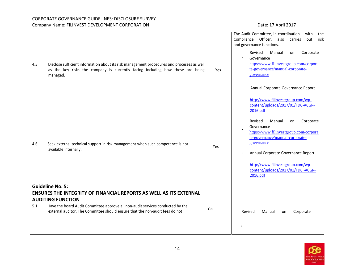|     |                                                                                            |     | The Audit Committee, in coordination<br>with<br>the |
|-----|--------------------------------------------------------------------------------------------|-----|-----------------------------------------------------|
|     |                                                                                            |     | Compliance Officer, also<br>risk<br>carries<br>out  |
|     |                                                                                            |     | and governance functions.                           |
|     |                                                                                            |     |                                                     |
|     |                                                                                            |     | Revised<br>Manual<br>Corporate<br>on                |
|     |                                                                                            |     | Governance                                          |
| 4.5 | Disclose sufficient information about its risk management procedures and processes as well |     | https://www.filinvestgroup.com/corpora              |
|     | as the key risks the company is currently facing including how these are being             | Yes | te-governance/manual-corporate-                     |
|     | managed.                                                                                   |     | governance                                          |
|     |                                                                                            |     |                                                     |
|     |                                                                                            |     |                                                     |
|     |                                                                                            |     | Annual Corporate Governance Report                  |
|     |                                                                                            |     |                                                     |
|     |                                                                                            |     | http://www.filinvestgroup.com/wp-                   |
|     |                                                                                            |     | content/uploads/2017/01/FDC-ACGR-                   |
|     |                                                                                            |     | 2016.pdf                                            |
|     |                                                                                            |     |                                                     |
|     |                                                                                            |     | Corporate<br>Revised<br>Manual<br>on                |
|     |                                                                                            |     | Governance                                          |
|     |                                                                                            |     | https://www.filinvestgroup.com/corpora              |
|     |                                                                                            |     | te-governance/manual-corporate-                     |
| 4.6 | Seek external technical support in risk management when such competence is not             |     | governance                                          |
|     | available internally.                                                                      | Yes |                                                     |
|     |                                                                                            |     | Annual Corporate Governance Report                  |
|     |                                                                                            |     |                                                     |
|     |                                                                                            |     | http://www.filinvestgroup.com/wp-                   |
|     |                                                                                            |     | content/uploads/2017/01/FDC -ACGR-                  |
|     |                                                                                            |     | 2016.pdf                                            |
|     |                                                                                            |     |                                                     |
|     | <b>Guideline No. 5:</b>                                                                    |     |                                                     |
|     | <b>ENSURES THE INTEGRITY OF FINANCIAL REPORTS AS WELL AS ITS EXTERNAL</b>                  |     |                                                     |
|     |                                                                                            |     |                                                     |
|     | <b>AUDITING FUNCTION</b>                                                                   |     |                                                     |
| 5.1 | Have the board Audit Committee approve all non-audit services conducted by the             | Yes |                                                     |
|     | external auditor. The Committee should ensure that the non-audit fees do not               |     | Corporate<br>Manual<br>Revised<br>on                |
|     |                                                                                            |     |                                                     |
|     |                                                                                            |     | $\bullet$                                           |
|     |                                                                                            |     |                                                     |
|     |                                                                                            |     |                                                     |

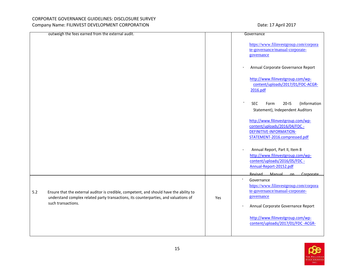|     | outweigh the fees earned from the external audit.                                                                                                                               |     | Governance                                                                                                                      |
|-----|---------------------------------------------------------------------------------------------------------------------------------------------------------------------------------|-----|---------------------------------------------------------------------------------------------------------------------------------|
|     |                                                                                                                                                                                 |     | https://www.filinvestgroup.com/corpora<br>te-governance/manual-corporate-<br>governance                                         |
|     |                                                                                                                                                                                 |     | Annual Corporate Governance Report                                                                                              |
|     |                                                                                                                                                                                 |     | http://www.filinvestgroup.com/wp-<br>content/uploads/2017/01/FDC-ACGR-<br>2016.pdf                                              |
|     |                                                                                                                                                                                 |     | <b>SEC</b><br>$20-IS$<br>(Information<br>Form<br>Statement), Independent Auditors                                               |
|     |                                                                                                                                                                                 |     | http://www.filinvestgroup.com/wp-<br>content/uploads/2016/04/FDC -<br>DEFINITIVE-INFORMATION-<br>STATEMENT-2016.compressed.pdf  |
|     |                                                                                                                                                                                 |     | Annual Report, Part II, Item 8<br>http://www.filinvestgroup.com/wp-<br>content/uploads/2016/05/FDC -<br>Annual-Report-20152.pdf |
|     |                                                                                                                                                                                 |     | Revised Manual<br>Corporate<br>$\alpha$ n                                                                                       |
| 5.2 | Ensure that the external auditor is credible, competent, and should have the ability to<br>understand complex related party transactions, its counterparties, and valuations of | Yes | Governance<br>https://www.filinvestgroup.com/corpora<br>te-governance/manual-corporate-<br>governance                           |
|     | such transactions.                                                                                                                                                              |     | Annual Corporate Governance Report                                                                                              |
|     |                                                                                                                                                                                 |     | http://www.filinvestgroup.com/wp-<br>content/uploads/2017/01/FDC -ACGR-                                                         |

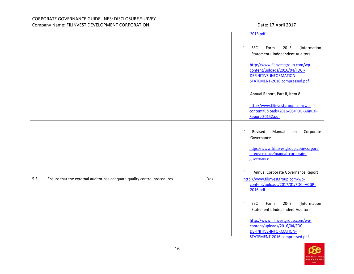|     |                                                                           |     | 2016.pdf                                                                                                                                      |
|-----|---------------------------------------------------------------------------|-----|-----------------------------------------------------------------------------------------------------------------------------------------------|
|     |                                                                           |     | $20-IS$<br>(Information<br><b>SEC</b><br>Form<br>Statement), Independent Auditors                                                             |
|     |                                                                           |     | http://www.filinvestgroup.com/wp-<br>content/uploads/2016/04/FDC -<br>DEFINITIVE-INFORMATION-<br>STATEMENT-2016.compressed.pdf                |
|     |                                                                           |     | Annual Report, Part II, Item 8                                                                                                                |
|     |                                                                           |     | http://www.filinvestgroup.com/wp-<br>content/uploads/2016/05/FDC -Annual-<br>Report-20152.pdf                                                 |
|     |                                                                           |     | Revised<br>Corporate<br>Manual<br>on<br>Governance<br>https://www.filinvestgroup.com/corpora<br>te-governance/manual-corporate-<br>governance |
| 5.3 | Ensure that the external auditor has adequate quality control procedures. | Yes | Annual Corporate Governance Report<br>http://www.filinvestgroup.com/wp-<br>content/uploads/2017/01/FDC -ACGR-<br>2016.pdf                     |
|     |                                                                           |     | $\bullet$<br><b>SEC</b><br>$20-IS$<br>(Information<br>Form<br>Statement), Independent Auditors                                                |
|     |                                                                           |     | http://www.filinvestgroup.com/wp-<br>content/uploads/2016/04/FDC -<br>DEFINITIVE-INFORMATION-<br>STATEMENT-2016.compressed.pdf                |

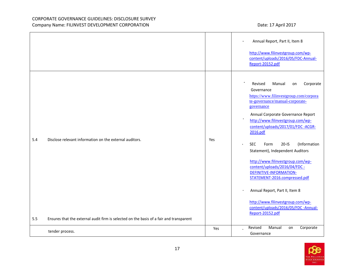|     |                                                                                         |     | Annual Report, Part II, Item 8                                                                                                                                                                                                                                                                                                                                                                                                                                                                                                                                                                                                                          |
|-----|-----------------------------------------------------------------------------------------|-----|---------------------------------------------------------------------------------------------------------------------------------------------------------------------------------------------------------------------------------------------------------------------------------------------------------------------------------------------------------------------------------------------------------------------------------------------------------------------------------------------------------------------------------------------------------------------------------------------------------------------------------------------------------|
|     |                                                                                         |     | http://www.filinvestgroup.com/wp-<br>content/uploads/2016/05/FDC-Annual-<br>Report-20152.pdf                                                                                                                                                                                                                                                                                                                                                                                                                                                                                                                                                            |
| 5.4 | Disclose relevant information on the external auditors.                                 | Yes | Revised<br>Manual<br>Corporate<br>on<br>Governance<br>https://www.filinvestgroup.com/corpora<br>te-governance/manual-corporate-<br>governance<br>Annual Corporate Governance Report<br>http://www.filinvestgroup.com/wp-<br>content/uploads/2017/01/FDC-ACGR-<br>2016.pdf<br>$20-IS$<br>(Information<br><b>SEC</b><br>Form<br>$\bullet$<br>Statement), Independent Auditors<br>http://www.filinvestgroup.com/wp-<br>content/uploads/2016/04/FDC -<br><b>DEFINITIVE-INFORMATION-</b><br>STATEMENT-2016.compressed.pdf<br>Annual Report, Part II, Item 8<br>http://www.filinvestgroup.com/wp-<br>content/uploads/2016/05/FDC -Annual-<br>Report-20152.pdf |
| 5.5 | Ensures that the external audit firm is selected on the basis of a fair and transparent |     |                                                                                                                                                                                                                                                                                                                                                                                                                                                                                                                                                                                                                                                         |
|     | tender process.                                                                         | Yes | Revised<br>Manual<br>Corporate<br>on<br>Governance                                                                                                                                                                                                                                                                                                                                                                                                                                                                                                                                                                                                      |

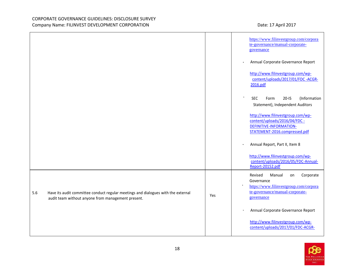|     |                                                                                                                                         |     | https://www.filinvestgroup.com/corpora<br>te-governance/manual-corporate-<br>governance                                                       |
|-----|-----------------------------------------------------------------------------------------------------------------------------------------|-----|-----------------------------------------------------------------------------------------------------------------------------------------------|
|     |                                                                                                                                         |     | Annual Corporate Governance Report                                                                                                            |
|     |                                                                                                                                         |     | http://www.filinvestgroup.com/wp-<br>content/uploads/2017/01/FDC -ACGR-<br>2016.pdf                                                           |
|     |                                                                                                                                         |     | $20-IS$<br>(Information<br><b>SEC</b><br>Form<br>Statement), Independent Auditors                                                             |
|     |                                                                                                                                         |     | http://www.filinvestgroup.com/wp-<br>content/uploads/2016/04/FDC -<br>DEFINITIVE-INFORMATION-<br>STATEMENT-2016.compressed.pdf                |
|     |                                                                                                                                         |     | Annual Report, Part II, Item 8                                                                                                                |
|     |                                                                                                                                         |     | http://www.filinvestgroup.com/wp-<br>content/uploads/2016/05/FDC-Annual-<br>Report-20152.pdf                                                  |
| 5.6 | Have its audit committee conduct regular meetings and dialogues with the external<br>audit team without anyone from management present. | Yes | Corporate<br>Revised<br>Manual<br>on<br>Governance<br>https://www.filinvestgroup.com/corpora<br>te-governance/manual-corporate-<br>governance |
|     |                                                                                                                                         |     | Annual Corporate Governance Report                                                                                                            |
|     |                                                                                                                                         |     | http://www.filinvestgroup.com/wp-<br>content/uploads/2017/01/FDC-ACGR-                                                                        |

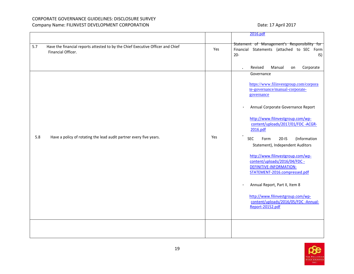|     |                                                                                                       |     | 2016.pdf                                                                                                                                                                                                                                                                                                                                                                                                                                                                                                                                                                                            |
|-----|-------------------------------------------------------------------------------------------------------|-----|-----------------------------------------------------------------------------------------------------------------------------------------------------------------------------------------------------------------------------------------------------------------------------------------------------------------------------------------------------------------------------------------------------------------------------------------------------------------------------------------------------------------------------------------------------------------------------------------------------|
| 5.7 | Have the financial reports attested to by the Chief Executive Officer and Chief<br>Financial Officer. | Yes | Statement of Management's Responsibility for<br>Financial Statements (attached to SEC Form<br>$20 -$<br>IS)                                                                                                                                                                                                                                                                                                                                                                                                                                                                                         |
|     |                                                                                                       |     | Corporate<br>Revised<br>Manual<br>on                                                                                                                                                                                                                                                                                                                                                                                                                                                                                                                                                                |
| 5.8 | Have a policy of rotating the lead audit partner every five years.                                    | Yes | Governance<br>https://www.filinvestgroup.com/corpora<br>te-governance/manual-corporate-<br>governance<br>Annual Corporate Governance Report<br>http://www.filinvestgroup.com/wp-<br>content/uploads/2017/01/FDC -ACGR-<br>2016.pdf<br><b>SEC</b><br>$20-IS$<br>(Information<br>Form<br>Statement), Independent Auditors<br>http://www.filinvestgroup.com/wp-<br>content/uploads/2016/04/FDC -<br><b>DEFINITIVE-INFORMATION-</b><br>STATEMENT-2016.compressed.pdf<br>Annual Report, Part II, Item 8<br>http://www.filinvestgroup.com/wp-<br>content/uploads/2016/05/FDC -Annual-<br>Report-20152.pdf |
|     |                                                                                                       |     |                                                                                                                                                                                                                                                                                                                                                                                                                                                                                                                                                                                                     |

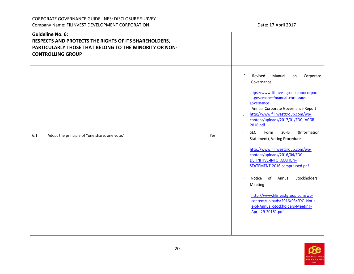| <b>Guideline No. 6:</b><br>RESPECTS AND PROTECTS THE RIGHTS OF ITS SHAREHOLDERS,<br>PARTICULARLY THOSE THAT BELONG TO THE MINORITY OR NON-<br><b>CONTROLLING GROUP</b> |     |                                                                                                                                                                                                                                                                                                                                                                                                                                                                                                                                                                                                                                                                                                               |
|------------------------------------------------------------------------------------------------------------------------------------------------------------------------|-----|---------------------------------------------------------------------------------------------------------------------------------------------------------------------------------------------------------------------------------------------------------------------------------------------------------------------------------------------------------------------------------------------------------------------------------------------------------------------------------------------------------------------------------------------------------------------------------------------------------------------------------------------------------------------------------------------------------------|
| 6.1<br>Adopt the principle of "one share, one vote."                                                                                                                   | Yes | Revised<br>Corporate<br>Manual<br>on<br>Governance<br>https://www.filinvestgroup.com/corpora<br>te-governance/manual-corporate-<br>governance<br>Annual Corporate Governance Report<br>http://www.filinvestgroup.com/wp-<br>content/uploads/2017/01/FDC -ACGR-<br>2016.pdf<br><b>SEC</b><br>Form<br>$20-IS$<br>(Information<br>$\bullet$<br>Statement), Voting Procedures<br>http://www.filinvestgroup.com/wp-<br>content/uploads/2016/04/FDC -<br><b>DEFINITIVE-INFORMATION-</b><br>STATEMENT-2016.compressed.pdf<br>Stockholders'<br>Notice<br>of<br>Annual<br>Meeting<br>http://www.filinvestgroup.com/wp-<br>content/uploads/2016/03/FDC Notic<br>e-of-Annual-Stockholders-Meeting-<br>April-29-20161.pdf |

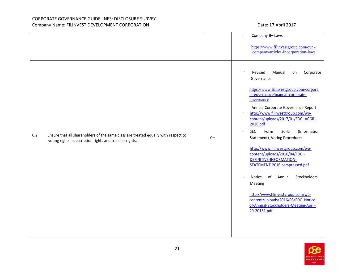|     |                                                                                                                                               |     | Company By-Laws                                                                                                                                                                                                                                                                                                                                                                                                                                                                                                                                                                                                                                                                                                                  |
|-----|-----------------------------------------------------------------------------------------------------------------------------------------------|-----|----------------------------------------------------------------------------------------------------------------------------------------------------------------------------------------------------------------------------------------------------------------------------------------------------------------------------------------------------------------------------------------------------------------------------------------------------------------------------------------------------------------------------------------------------------------------------------------------------------------------------------------------------------------------------------------------------------------------------------|
|     |                                                                                                                                               |     | https://www.filinvestgroup.com/our-<br>company/articles-incorporation-laws                                                                                                                                                                                                                                                                                                                                                                                                                                                                                                                                                                                                                                                       |
| 6.2 | Ensure that all shareholders of the same class are treated equally with respect to<br>voting rights, subscription rights and transfer rights. | Yes | $\bullet$<br>Revised<br>Manual<br>Corporate<br>on<br>Governance<br>https://www.filinvestgroup.com/corpora<br>te-governance/manual-corporate-<br>governance<br>Annual Corporate Governance Report<br>$\bullet$<br>http://www.filinvestgroup.com/wp-<br>content/uploads/2017/01/FDC -ACGR-<br>2016.pdf<br><b>SEC</b><br>$20-IS$<br>(Information<br>Form<br>$\bullet$<br>Statement), Voting Procedures<br>http://www.filinvestgroup.com/wp-<br>content/uploads/2016/04/FDC -<br>DEFINITIVE-INFORMATION-<br>STATEMENT-2016.compressed.pdf<br>Stockholders'<br>Notice<br>of<br>Annual<br>Meeting<br>http://www.filinvestgroup.com/wp-<br>content/uploads/2016/03/FDC Notice-<br>of-Annual-Stockholders-Meeting-April-<br>29-20161.pdf |

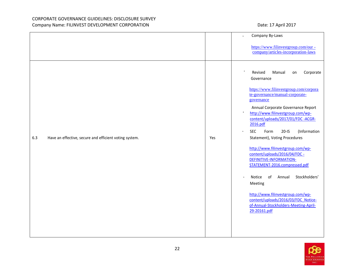|     |                                                        |     | Company By-Laws<br>$\ddot{\phantom{0}}$                                                                                                                                                                                                                                                                                                                                                                                                                                                                                                                                                                                                                                                                                                      |
|-----|--------------------------------------------------------|-----|----------------------------------------------------------------------------------------------------------------------------------------------------------------------------------------------------------------------------------------------------------------------------------------------------------------------------------------------------------------------------------------------------------------------------------------------------------------------------------------------------------------------------------------------------------------------------------------------------------------------------------------------------------------------------------------------------------------------------------------------|
|     |                                                        |     | https://www.filinvestgroup.com/our -<br>company/articles-incorporation-laws                                                                                                                                                                                                                                                                                                                                                                                                                                                                                                                                                                                                                                                                  |
| 6.3 | Have an effective, secure and efficient voting system. | Yes | $\bullet$<br>Revised<br>Manual<br>Corporate<br>on<br>Governance<br>https://www.filinvestgroup.com/corpora<br>te-governance/manual-corporate-<br>governance<br>Annual Corporate Governance Report<br>$\bullet$<br>http://www.filinvestgroup.com/wp-<br>content/uploads/2017/01/FDC-ACGR-<br>2016.pdf<br><b>SEC</b><br>Form<br>$20-IS$<br>(Information<br>$\bullet$<br>Statement), Voting Procedures<br>http://www.filinvestgroup.com/wp-<br>content/uploads/2016/04/FDC -<br>DEFINITIVE-INFORMATION-<br>STATEMENT-2016.compressed.pdf<br>Stockholders'<br>Notice<br>of<br>Annual<br>$\bullet$<br>Meeting<br>http://www.filinvestgroup.com/wp-<br>content/uploads/2016/03/FDC Notice-<br>of-Annual-Stockholders-Meeting-April-<br>29-20161.pdf |

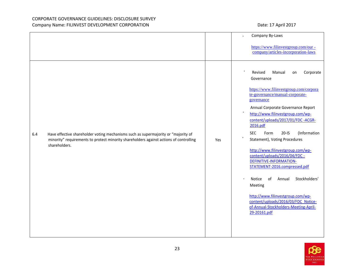|     |                                                                                                                                                                                               |     | Company By-Laws                                                                                                                                                                                                                                                                                                                                                                                                                                                                                                                                                                                                                                                                             |
|-----|-----------------------------------------------------------------------------------------------------------------------------------------------------------------------------------------------|-----|---------------------------------------------------------------------------------------------------------------------------------------------------------------------------------------------------------------------------------------------------------------------------------------------------------------------------------------------------------------------------------------------------------------------------------------------------------------------------------------------------------------------------------------------------------------------------------------------------------------------------------------------------------------------------------------------|
|     |                                                                                                                                                                                               |     | https://www.filinvestgroup.com/our-<br>company/articles-incorporation-laws                                                                                                                                                                                                                                                                                                                                                                                                                                                                                                                                                                                                                  |
| 6.4 | Have effective shareholder voting mechanisms such as supermajority or "majority of<br>minority" requirements to protect minority shareholders against actions of controlling<br>shareholders. | Yes | Corporate<br>Revised<br>Manual<br>on<br>Governance<br>https://www.filinvestgroup.com/corpora<br>te-governance/manual-corporate-<br>governance<br>Annual Corporate Governance Report<br>http://www.filinvestgroup.com/wp-<br>content/uploads/2017/01/FDC -ACGR-<br>2016.pdf<br>(Information<br><b>SEC</b><br>Form<br>$20 - 15$<br>Statement), Voting Procedures<br>http://www.filinvestgroup.com/wp-<br>content/uploads/2016/04/FDC -<br>DEFINITIVE-INFORMATION-<br>STATEMENT-2016.compressed.pdf<br>Stockholders'<br>Notice<br>of<br>Annual<br>Meeting<br>http://www.filinvestgroup.com/wp-<br>content/uploads/2016/03/FDC Notice-<br>of-Annual-Stockholders-Meeting-April-<br>29-20161.pdf |

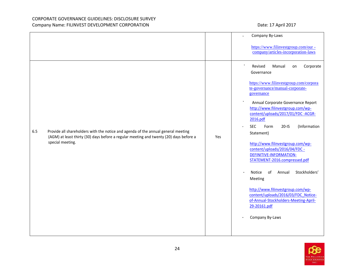| https://www.filinvestgroup.com/our-<br>company/articles-incorporation-laws<br>$\bullet$<br>Revised<br>Corporate<br>Manual<br>on<br>Governance<br>https://www.filinvestgroup.com/corpora<br>te-governance/manual-corporate-<br>governance<br>Annual Corporate Governance Report<br>http://www.filinvestgroup.com/wp-<br>content/uploads/2017/01/FDC -ACGR-<br>2016.pdf<br>(Information<br><b>SEC</b><br>Form<br>$20-IS$<br>$\bullet$<br>Provide all shareholders with the notice and agenda of the annual general meeting<br>6.5<br>Statement)<br>(AGM) at least thirty (30) days before a regular meeting and twenty (20) days before a<br>Yes<br>special meeting.<br>http://www.filinvestgroup.com/wp- |  | Company By-Laws               |
|---------------------------------------------------------------------------------------------------------------------------------------------------------------------------------------------------------------------------------------------------------------------------------------------------------------------------------------------------------------------------------------------------------------------------------------------------------------------------------------------------------------------------------------------------------------------------------------------------------------------------------------------------------------------------------------------------------|--|-------------------------------|
|                                                                                                                                                                                                                                                                                                                                                                                                                                                                                                                                                                                                                                                                                                         |  |                               |
| DEFINITIVE-INFORMATION-<br>STATEMENT-2016.compressed.pdf<br>Stockholders'<br>Notice<br>of<br>Annual<br>Meeting<br>http://www.filinvestgroup.com/wp-<br>content/uploads/2016/03/FDC Notice-<br>of-Annual-Stockholders-Meeting-April-<br>29-20161.pdf<br>Company By-Laws                                                                                                                                                                                                                                                                                                                                                                                                                                  |  | content/uploads/2016/04/FDC - |

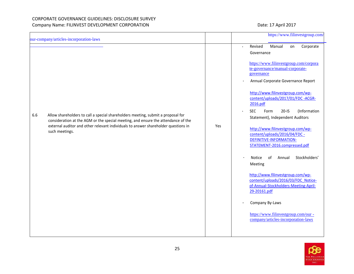| our-company/articles-incorporation-laws                                                                                                                                                                                                                                              |     | https://www.filinvestgroup.com/                                                                                                                                                                                                                                                                                                                                                                                                                                                                                                                                                                                                                                                                                                                                                                                                            |
|--------------------------------------------------------------------------------------------------------------------------------------------------------------------------------------------------------------------------------------------------------------------------------------|-----|--------------------------------------------------------------------------------------------------------------------------------------------------------------------------------------------------------------------------------------------------------------------------------------------------------------------------------------------------------------------------------------------------------------------------------------------------------------------------------------------------------------------------------------------------------------------------------------------------------------------------------------------------------------------------------------------------------------------------------------------------------------------------------------------------------------------------------------------|
| Allow shareholders to call a special shareholders meeting, submit a proposal for<br>6.6<br>consideration at the AGM or the special meeting, and ensure the attendance of the<br>external auditor and other relevant individuals to answer shareholder questions in<br>such meetings. | Yes | Revised<br>Manual<br>Corporate<br>on<br>$\ddot{\phantom{1}}$<br>Governance<br>https://www.filinvestgroup.com/corpora<br>te-governance/manual-corporate-<br>governance<br>Annual Corporate Governance Report<br>http://www.filinvestgroup.com/wp-<br>content/uploads/2017/01/FDC -ACGR-<br>2016.pdf<br><b>SEC</b><br>$20-IS$<br>(Information<br>Form<br>$\bullet$<br>Statement), Independent Auditors<br>http://www.filinvestgroup.com/wp-<br>content/uploads/2016/04/FDC -<br><b>DEFINITIVE-INFORMATION-</b><br>STATEMENT-2016.compressed.pdf<br>Stockholders'<br>of<br>Notice<br>Annual<br>Meeting<br>http://www.filinvestgroup.com/wp-<br>content/uploads/2016/03/FDC Notice-<br>of-Annual-Stockholders-Meeting-April-<br>29-20161.pdf<br>Company By-Laws<br>https://www.filinvestgroup.com/our -<br>company/articles-incorporation-laws |

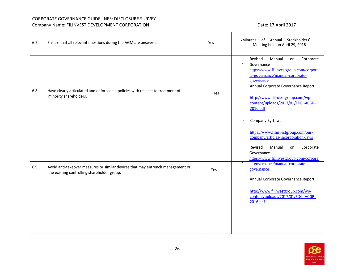| 6.7 | Ensure that all relevant questions during the AGM are answered.                                                                | Yes | Annual Stockholders'<br>of<br>·Minutes<br>Meeting held on April 29, 2016                                                                                                                                                                                                                                   |
|-----|--------------------------------------------------------------------------------------------------------------------------------|-----|------------------------------------------------------------------------------------------------------------------------------------------------------------------------------------------------------------------------------------------------------------------------------------------------------------|
| 6.8 | Have clearly articulated and enforceable policies with respect to treatment of<br>minority shareholders.                       | Yes | Revised<br>Manual<br>Corporate<br>on<br>$\bullet$<br>Governance<br>https://www.filinvestgroup.com/corpora<br>te-governance/manual-corporate-<br>governance<br>Annual Corporate Governance Report<br>http://www.filinvestgroup.com/wp-<br>content/uploads/2017/01/FDC -ACGR-<br>2016.pdf<br>Company By-Laws |
|     |                                                                                                                                |     | https://www.filinvestgroup.com/our-<br>company/articles-incorporation-laws<br>Revised<br>Manual<br>Corporate<br>on<br>Governance<br>https://www.filinvestgroup.com/corpora                                                                                                                                 |
| 6.9 | Avoid anti-takeover measures or similar devices that may entrench management or<br>the existing controlling shareholder group. | Yes | te-governance/manual-corporate-<br>governance<br>Annual Corporate Governance Report<br>http://www.filinvestgroup.com/wp-<br>content/uploads/2017/01/FDC -ACGR-<br>2016.pdf                                                                                                                                 |

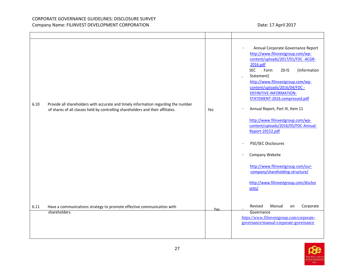| Provide all shareholders with accurate and timely information regarding the number<br>6.10<br>of shares of all classes held by controlling shareholders and their affiliates. | Yes | Annual Corporate Governance Report<br>http://www.filinvestgroup.com/wp-<br>content/uploads/2017/01/FDC -ACGR-<br>2016.pdf<br><b>SEC</b><br>Form<br>$20-IS$<br>(Information<br>Statement)<br>http://www.filinvestgroup.com/wp-<br>content/uploads/2016/04/FDC -<br>DEFINITIVE-INFORMATION-<br>STATEMENT-2016.compressed.pdf<br>Annual Report, Part III, Item 11<br>http://www.filinvestgroup.com/wp-<br>content/uploads/2016/05/FDC-Annual-<br>Report-20152.pdf<br>PSE/SEC Disclosures<br>Company Website<br>http://www.filinvestgroup.com/our-<br>company/shareholding-structure/<br>http://www.filinvestgroup.com/disclos<br>ures/ |
|-------------------------------------------------------------------------------------------------------------------------------------------------------------------------------|-----|-------------------------------------------------------------------------------------------------------------------------------------------------------------------------------------------------------------------------------------------------------------------------------------------------------------------------------------------------------------------------------------------------------------------------------------------------------------------------------------------------------------------------------------------------------------------------------------------------------------------------------------|
| 6.11<br>Have a communications strategy to promote effective communication with<br>shareholders.                                                                               | Yes | Revised<br>Corporate<br>Manual<br>on<br>Governance                                                                                                                                                                                                                                                                                                                                                                                                                                                                                                                                                                                  |
|                                                                                                                                                                               |     | https://www.filinvestgroup.com/corporate-<br>governance/manual-corporate-governance                                                                                                                                                                                                                                                                                                                                                                                                                                                                                                                                                 |

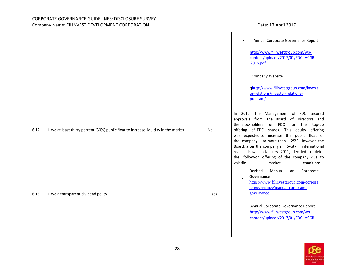|      |                                                                                      |           | Annual Corporate Governance Report                                                                                                                                                                                                                                                                                                |
|------|--------------------------------------------------------------------------------------|-----------|-----------------------------------------------------------------------------------------------------------------------------------------------------------------------------------------------------------------------------------------------------------------------------------------------------------------------------------|
|      |                                                                                      |           | http://www.filinvestgroup.com/wp-<br>content/uploads/2017/01/FDC -ACGR-<br>2016.pdf                                                                                                                                                                                                                                               |
|      |                                                                                      |           | Company Website                                                                                                                                                                                                                                                                                                                   |
|      |                                                                                      |           | qhttp://www.filinvestgroup.com/inves t<br>or-relations/investor-relations-<br>program/                                                                                                                                                                                                                                            |
|      |                                                                                      |           | In 2010, the Management of FDC secured                                                                                                                                                                                                                                                                                            |
|      |                                                                                      |           | approvals from the Board of Directors and<br>the stockholders of FDC<br>for the<br>top-up                                                                                                                                                                                                                                         |
| 6.12 | Have at least thirty percent (30%) public float to increase liquidity in the market. | <b>No</b> | offering of FDC shares. This equity offering<br>was expected to increase the public float of<br>the company to more than 25%. However, the<br>Board, after the company's 6-city international<br>road show in January 2011, decided to defer<br>the follow-on offering of the company due to<br>volatile<br>market<br>conditions. |
|      |                                                                                      |           | Corporate<br>Revised<br>Manual<br>on                                                                                                                                                                                                                                                                                              |
|      |                                                                                      |           | Governance<br>$\overline{\phantom{a}}$<br>https://www.filinvestgroup.com/corpora<br>te-governance/manual-corporate-                                                                                                                                                                                                               |
| 6.13 | Have a transparent dividend policy.                                                  | Yes       | governance                                                                                                                                                                                                                                                                                                                        |
|      |                                                                                      |           | Annual Corporate Governance Report<br>http://www.filinvestgroup.com/wp-<br>content/uploads/2017/01/FDC -ACGR-                                                                                                                                                                                                                     |
|      |                                                                                      |           |                                                                                                                                                                                                                                                                                                                                   |

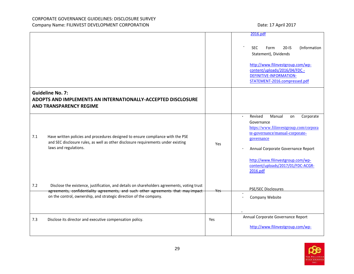|     |                                                                                                                                                                                                                                                        |     | 2016.pdf                                                                                                                                                                                                                                                                               |
|-----|--------------------------------------------------------------------------------------------------------------------------------------------------------------------------------------------------------------------------------------------------------|-----|----------------------------------------------------------------------------------------------------------------------------------------------------------------------------------------------------------------------------------------------------------------------------------------|
|     |                                                                                                                                                                                                                                                        |     | (Information<br><b>SEC</b><br>$20-15$<br>Form<br>Statement), Dividends<br>http://www.filinvestgroup.com/wp-<br>content/uploads/2016/04/FDC -<br><b>DEFINITIVE-INFORMATION-</b><br>STATEMENT-2016.compressed.pdf                                                                        |
|     | <b>Guideline No. 7:</b><br>ADOPTS AND IMPLEMENTS AN INTERNATIONALLY-ACCEPTED DISCLOSURE<br><b>AND TRANSPARENCY REGIME</b>                                                                                                                              |     |                                                                                                                                                                                                                                                                                        |
| 7.1 | Have written policies and procedures designed to ensure compliance with the PSE<br>and SEC disclosure rules, as well as other disclosure requirements under existing<br>laws and regulations.                                                          | Yes | Revised<br>Manual<br>Corporate<br>$\bullet$<br>on<br>Governance<br>https://www.filinvestgroup.com/corpora<br>te-governance/manual-corporate-<br>governance<br>Annual Corporate Governance Report<br>http://www.filinvestgroup.com/wp-<br>content/uploads/2017/01/FDC-ACGR-<br>2016.pdf |
| 7.2 | Disclose the existence, justification, and details on shareholders agreements, voting trust<br>agreements, confidentiality agreements, and such other agreements that may impact<br>on the control, ownership, and strategic direction of the company. | Yes | <b>PSE/SEC Disclosures</b><br>Company Website                                                                                                                                                                                                                                          |
| 7.3 | Disclose its director and executive compensation policy.                                                                                                                                                                                               | Yes | Annual Corporate Governance Report<br>http://www.filinvestgroup.com/wp-                                                                                                                                                                                                                |

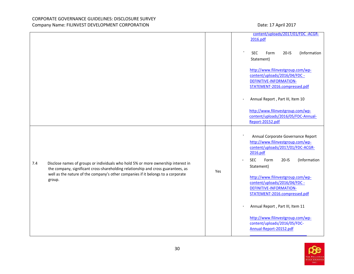|                                                                                                                                                                                                                                                                             |     | content/uploads/2017/01/FDC -ACGR-                                                                                                                                                                                                                                                                                                                                                                                                                                   |
|-----------------------------------------------------------------------------------------------------------------------------------------------------------------------------------------------------------------------------------------------------------------------------|-----|----------------------------------------------------------------------------------------------------------------------------------------------------------------------------------------------------------------------------------------------------------------------------------------------------------------------------------------------------------------------------------------------------------------------------------------------------------------------|
|                                                                                                                                                                                                                                                                             |     | 2016.pdf                                                                                                                                                                                                                                                                                                                                                                                                                                                             |
|                                                                                                                                                                                                                                                                             |     | $20-IS$<br>(Information<br><b>SEC</b><br>Form<br>Statement)                                                                                                                                                                                                                                                                                                                                                                                                          |
|                                                                                                                                                                                                                                                                             |     | http://www.filinvestgroup.com/wp-<br>content/uploads/2016/04/FDC -<br>DEFINITIVE-INFORMATION-<br>STATEMENT-2016.compressed.pdf                                                                                                                                                                                                                                                                                                                                       |
|                                                                                                                                                                                                                                                                             |     | Annual Report, Part III, Item 10                                                                                                                                                                                                                                                                                                                                                                                                                                     |
|                                                                                                                                                                                                                                                                             |     | http://www.filinvestgroup.com/wp-<br>content/uploads/2016/05/FDC-Annual-<br>Report-20152.pdf                                                                                                                                                                                                                                                                                                                                                                         |
| Disclose names of groups or individuals who hold 5% or more ownership interest in<br>7.4<br>the company, significant cross-shareholding relationship and cross guarantees, as<br>well as the nature of the company's other companies if it belongs to a corporate<br>group. | Yes | Annual Corporate Governance Report<br>http://www.filinvestgroup.com/wp-<br>content/uploads/2017/01/FDC-ACGR-<br>2016.pdf<br>(Information<br><b>SEC</b><br>Form<br>$20-IS$<br>Statement)<br>http://www.filinvestgroup.com/wp-<br>content/uploads/2016/04/FDC -<br><b>DEFINITIVE-INFORMATION-</b><br>STATEMENT-2016.compressed.pdf<br>Annual Report, Part III, Item 11<br>http://www.filinvestgroup.com/wp-<br>content/uploads/2016/05/FDC-<br>Annual-Report-20152.pdf |

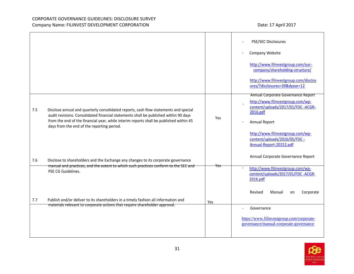|                                                                                                                                                                                                                                                                                                                             |     | PSE/SEC Disclosures<br>Company Website<br>http://www.filinvestgroup.com/our-<br>company/shareholding-structure/<br>http://www.filinvestgroup.com/disclos<br>ures/?disclosures=39&dyear=12                                                   |
|-----------------------------------------------------------------------------------------------------------------------------------------------------------------------------------------------------------------------------------------------------------------------------------------------------------------------------|-----|---------------------------------------------------------------------------------------------------------------------------------------------------------------------------------------------------------------------------------------------|
| Disclose annual and quarterly consolidated reports, cash flow statements and special<br>7.5<br>audit revisions. Consolidated financial statements shall be published within 90 days<br>from the end of the financial year, while interim reports shall be published within 45<br>days from the end of the reporting period. | Yes | Annual Corporate Governance Report<br>http://www.filinvestgroup.com/wp-<br>content/uploads/2017/01/FDC -ACGR-<br>2016.pdf<br>Annual Report<br>http://www.filinvestgroup.com/wp-<br>content/uploads/2016/05/FDC -<br>Annual-Report-20152.pdf |
| 7.6<br>Disclose to shareholders and the Exchange any changes to its corporate governance<br>manual and practices, and the extent to which such practices conform to the SEC and<br>PSE CG Guidelines.                                                                                                                       | Yes | Annual Corporate Governance Report<br>http://www.filinvestgroup.com/wp-<br>content/uploads/2017/01/FDC -ACGR-<br>2016.pdf                                                                                                                   |
| Publish and/or deliver to its shareholders in a timely fashion all information and<br>7.7<br>materials relevant to corporate actions that require shareholder approval.                                                                                                                                                     | Yes | Revised<br>Manual<br>Corporate<br>on<br>Governance<br>https://www.filinvestgroup.com/corporate-<br>governance/manual-corporate-governance                                                                                                   |

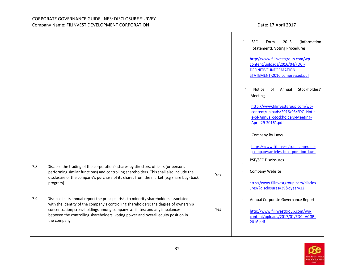|     |                                                                                                                                                                                                                                                                                                                                                                  |     | (Information<br><b>SEC</b><br>$20 - IS$<br>Form<br>Statement), Voting Procedures<br>http://www.filinvestgroup.com/wp-<br>content/uploads/2016/04/FDC -<br><b>DEFINITIVE-INFORMATION-</b><br>STATEMENT-2016.compressed.pdf |
|-----|------------------------------------------------------------------------------------------------------------------------------------------------------------------------------------------------------------------------------------------------------------------------------------------------------------------------------------------------------------------|-----|---------------------------------------------------------------------------------------------------------------------------------------------------------------------------------------------------------------------------|
|     |                                                                                                                                                                                                                                                                                                                                                                  |     | Stockholders'<br><b>Notice</b><br>Annual<br>οf<br>Meeting                                                                                                                                                                 |
|     |                                                                                                                                                                                                                                                                                                                                                                  |     | http://www.filinvestgroup.com/wp-<br>content/uploads/2016/03/FDC Notic<br>e-of-Annual-Stockholders-Meeting-<br>April-29-20161.pdf                                                                                         |
|     |                                                                                                                                                                                                                                                                                                                                                                  |     | Company By-Laws                                                                                                                                                                                                           |
|     |                                                                                                                                                                                                                                                                                                                                                                  |     | https://www.filinvestgroup.com/our-<br>company/articles-incorporation-laws                                                                                                                                                |
|     |                                                                                                                                                                                                                                                                                                                                                                  |     | PSE/SEC Disclosures                                                                                                                                                                                                       |
| 7.8 | Disclose the trading of the corporation's shares by directors, officers (or persons<br>performing similar functions) and controlling shareholders. This shall also include the<br>disclosure of the company's purchase of its shares from the market (e.g share buy- back                                                                                        | Yes | Company Website                                                                                                                                                                                                           |
|     | program).                                                                                                                                                                                                                                                                                                                                                        |     | http://www.filinvestgroup.com/disclos<br>ures/?disclosures=39&dyear=12                                                                                                                                                    |
| 7.9 | Disclose in its annual report the principal risks to minority shareholders associated<br>with the identity of the company's controlling shareholders; the degree of ownership<br>concentration; cross-holdings among company affiliates; and any imbalances<br>between the controlling shareholders' voting power and overall equity position in<br>the company. | Yes | Annual Corporate Governance Report<br>http://www.filinvestgroup.com/wp-<br>content/uploads/2017/01/FDC -ACGR-<br>2016.pdf                                                                                                 |
|     |                                                                                                                                                                                                                                                                                                                                                                  |     |                                                                                                                                                                                                                           |

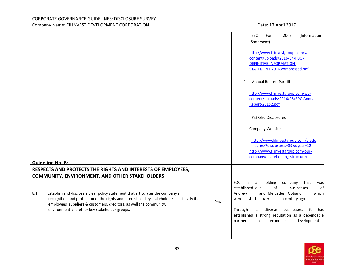|                                                                                                                                                                                                                                                                                                              |     | (Information<br><b>SEC</b><br>$20-IS$<br>Form<br>Statement)<br>http://www.filinvestgroup.com/wp-<br>content/uploads/2016/04/FDC -<br>DEFINITIVE-INFORMATION-                                                                                                                                 |
|--------------------------------------------------------------------------------------------------------------------------------------------------------------------------------------------------------------------------------------------------------------------------------------------------------------|-----|----------------------------------------------------------------------------------------------------------------------------------------------------------------------------------------------------------------------------------------------------------------------------------------------|
|                                                                                                                                                                                                                                                                                                              |     | STATEMENT-2016.compressed.pdf<br>Annual Report, Part III                                                                                                                                                                                                                                     |
|                                                                                                                                                                                                                                                                                                              |     | http://www.filinvestgroup.com/wp-<br>content/uploads/2016/05/FDC-Annual-<br>Report-20152.pdf<br>PSE/SEC Disclosures                                                                                                                                                                          |
|                                                                                                                                                                                                                                                                                                              |     | Company Website<br>http://www.filinvestgroup.com/disclo                                                                                                                                                                                                                                      |
| <b>Guideline No. 8:</b>                                                                                                                                                                                                                                                                                      |     | sures/?disclosures=39&dyear=12<br>http://www.filinvestgroup.com/our-<br>company/shareholding-structure/                                                                                                                                                                                      |
| RESPECTS AND PROTECTS THE RIGHTS AND INTERESTS OF EMPLOYEES,<br><b>COMMUNITY, ENVIRONMENT, AND OTHER STAKEHOLDERS</b>                                                                                                                                                                                        |     | holding<br>FDC<br>is<br>a<br>company<br>that<br>was                                                                                                                                                                                                                                          |
| Establish and disclose a clear policy statement that articulates the company's<br>8.1<br>recognition and protection of the rights and interests of key stakeholders specifically its<br>employees, suppliers & customers, creditors, as well the community,<br>environment and other key stakeholder groups. | Yes | established out<br>of<br>businesses<br>.ot<br>and Mercedes Gotianun<br>which<br>Andrew<br>started over half a century ago.<br>were<br>Through<br>businesses,<br>its<br>diverse<br>it<br>hasl<br>established a strong reputation as a dependable<br>development.<br>partner<br>in<br>economic |

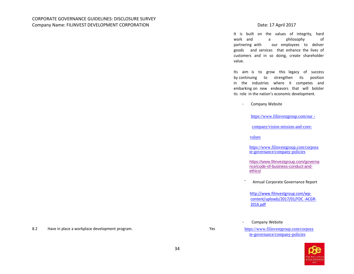It is built on the values of integrity, hard work and a philosophy of partnering with our employees to deliver goods and services that enhance the lives of customers and in so doing, create shareholder value.

Its aim is to grow this legacy of success by continuing to strengthen its position in the industries where it competes and embarking on new endeavors that will bolster its role in the nation's economic development.

Company Website  $\bullet$ 

[https://www.filinvestgroup.com/our -](https://www.filinvestgroup.com/our-company/vision-mission-and-core-values)

[company/vision-mission-and-core-](https://www.filinvestgroup.com/our-company/vision-mission-and-core-values)

[values](https://www.filinvestgroup.com/our-company/vision-mission-and-core-values)

[https://www.filinvestgroup.com/corpora](https://www.filinvestgroup.com/corporate-governance/company-policies) [te-governance/company-policies](https://www.filinvestgroup.com/corporate-governance/company-policies)

[https://www.filinvestgroup.com/governa](https://www.filinvestgroup.com/corporate-governance/code-business-conduct-and-ethics) [nce/code-of-business-conduct-and](https://www.filinvestgroup.com/corporate-governance/code-business-conduct-and-ethics)[ethics/](https://www.filinvestgroup.com/corporate-governance/code-business-conduct-and-ethics)

Annual Corporate Governance Report

[http://www.filinvestgroup.com/wp](http://www.filinvestgroup.com/wp-content/uploads/2017/01/FDC-ACGR-2016.pdf)[content/uploads/2017/01/FDC -ACGR-](http://www.filinvestgroup.com/wp-content/uploads/2017/01/FDC-ACGR-2016.pdf)[2016.pdf](http://www.filinvestgroup.com/wp-content/uploads/2017/01/FDC-ACGR-2016.pdf)

 $\bullet$ Company Website

[te-governance/company-policies](https://www.filinvestgroup.com/corporate-governance/company-policies)



8.2 Have in place a workplace development program. The mass of the state of the state of the state of the state of the state of the state of the state of the state of the state of the state of the state of the state of the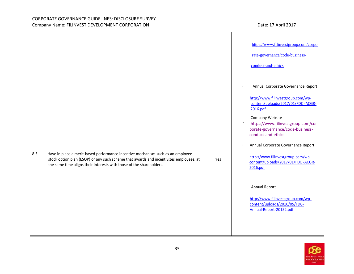|                                                                                                                                                                                                                                                          |     | https://www.filinvestgroup.com/corpo<br>rate-governance/code-business-<br>conduct-and-ethics                                                                                                                                                                                                                                                                                                                                                                                              |
|----------------------------------------------------------------------------------------------------------------------------------------------------------------------------------------------------------------------------------------------------------|-----|-------------------------------------------------------------------------------------------------------------------------------------------------------------------------------------------------------------------------------------------------------------------------------------------------------------------------------------------------------------------------------------------------------------------------------------------------------------------------------------------|
| Have in place a merit-based performance incentive mechanism such as an employee<br>8.3<br>stock option plan (ESOP) or any such scheme that awards and incentivizes employees, at<br>the same time aligns their interests with those of the shareholders. | Yes | Annual Corporate Governance Report<br>http://www.filinvestgroup.com/wp-<br>content/uploads/2017/01/FDC-ACGR-<br>2016.pdf<br>Company Website<br>https://www.filinvestgroup.com/cor<br>porate-governance/code-business-<br>conduct-and-ethics<br>Annual Corporate Governance Report<br>http://www.filinvestgroup.com/wp-<br>content/uploads/2017/01/FDC -ACGR-<br>2016.pdf<br>Annual Report<br>http://www.filinvestgroup.com/wp-<br>content/uploads/2016/05/FDC-<br>Annual-Report-20152.pdf |

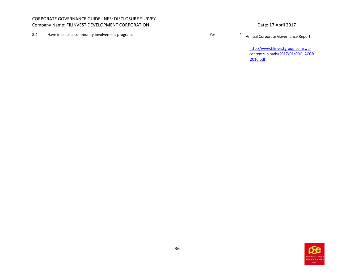8.4 Have in place a community involvement program.<br>
8.4 Annual Corporate Governance Report

[http://www.filinvestgroup.com/wp](http://www.filinvestgroup.com/wp-content/uploads/2017/01/FDC-ACGR-2016.pdf)[content/uploads/2017/01/FDC -ACGR-](http://www.filinvestgroup.com/wp-content/uploads/2017/01/FDC-ACGR-2016.pdf)[2016.pdf](http://www.filinvestgroup.com/wp-content/uploads/2017/01/FDC-ACGR-2016.pdf)

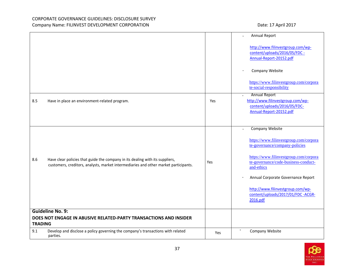|                |                                                                                                                                                                       |     | Annual Report                                                                                                                                                                                                                                                                                                                   |
|----------------|-----------------------------------------------------------------------------------------------------------------------------------------------------------------------|-----|---------------------------------------------------------------------------------------------------------------------------------------------------------------------------------------------------------------------------------------------------------------------------------------------------------------------------------|
|                |                                                                                                                                                                       |     | http://www.filinvestgroup.com/wp-<br>content/uploads/2016/05/FDC -<br>Annual-Report-20152.pdf<br>Company Website                                                                                                                                                                                                                |
|                |                                                                                                                                                                       |     | https://www.filinvestgroup.com/corpora<br>te-social-responsibility                                                                                                                                                                                                                                                              |
| 8.5            | Have in place an environment-related program.                                                                                                                         | Yes | <b>Annual Report</b><br>$\bullet$<br>http://www.filinvestgroup.com/wp-<br>content/uploads/2016/05/FDC-<br>Annual-Report-20152.pdf                                                                                                                                                                                               |
| 8.6            | Have clear policies that guide the company in its dealing with its suppliers,<br>customers, creditors, analysts, market intermediaries and other market participants. | Yes | <b>Company Website</b><br>https://www.filinvestgroup.com/corpora<br>te-governance/company-policies<br>https://www.filinvestgroup.com/corpora<br>te-governance/code-business-conduct-<br>and-ethics<br>Annual Corporate Governance Report<br>http://www.filinvestgroup.com/wp-<br>content/uploads/2017/01/FDC -ACGR-<br>2016.pdf |
|                | <b>Guideline No. 9:</b>                                                                                                                                               |     |                                                                                                                                                                                                                                                                                                                                 |
| <b>TRADING</b> | DOES NOT ENGAGE IN ABUSIVE RELATED-PARTY TRANSACTIONS AND INSIDER                                                                                                     |     |                                                                                                                                                                                                                                                                                                                                 |
| 9.1            | Develop and disclose a policy governing the company's transactions with related<br>parties.                                                                           | Yes | Company Website                                                                                                                                                                                                                                                                                                                 |

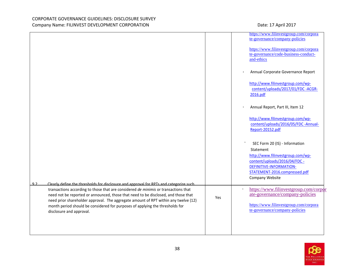|    |                                                                                                                                                                                                                                                                                                                                                                               |     | https://www.filinvestgroup.com/corpora<br>te-governance/company-policies<br>https://www.filinvestgroup.com/corpora                                                                               |
|----|-------------------------------------------------------------------------------------------------------------------------------------------------------------------------------------------------------------------------------------------------------------------------------------------------------------------------------------------------------------------------------|-----|--------------------------------------------------------------------------------------------------------------------------------------------------------------------------------------------------|
|    |                                                                                                                                                                                                                                                                                                                                                                               |     | te-governance/code-business-conduct-<br>and-ethics                                                                                                                                               |
|    |                                                                                                                                                                                                                                                                                                                                                                               |     | Annual Corporate Governance Report                                                                                                                                                               |
|    |                                                                                                                                                                                                                                                                                                                                                                               |     | http://www.filinvestgroup.com/wp-<br>content/uploads/2017/01/FDC -ACGR-<br>2016.pdf                                                                                                              |
|    |                                                                                                                                                                                                                                                                                                                                                                               |     | Annual Report, Part III, Item 12                                                                                                                                                                 |
|    |                                                                                                                                                                                                                                                                                                                                                                               |     | http://www.filinvestgroup.com/wp-<br>content/uploads/2016/05/FDC -Annual-<br>Report-20152.pdf                                                                                                    |
| 92 | Clearly define the thresholds for disclosure and approval for RPTs and categorize such                                                                                                                                                                                                                                                                                        |     | SEC Form 20 (IS) - Information<br>Statement<br>http://www.filinvestgroup.com/wp-<br>content/uploads/2016/04/FDC -<br>DEFINITIVE-INFORMATION-<br>STATEMENT-2016.compressed.pdf<br>Company Website |
|    | transactions according to those that are considered de minimis or transactions that<br>need not be reported or announced, those that need to be disclosed, and those that<br>need prior shareholder approval. The aggregate amount of RPT within any twelve (12)<br>month period should be considered for purposes of applying the thresholds for<br>disclosure and approval. | Yes | https://www.filinvestgroup.com/corpor<br>$\bullet$<br>ate-governance/company-policies<br>https://www.filinvestgroup.com/corpora<br>te-governance/company-policies                                |
|    |                                                                                                                                                                                                                                                                                                                                                                               |     |                                                                                                                                                                                                  |

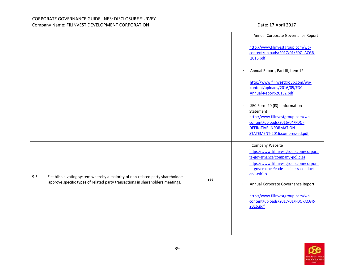|     |                                                                                                                                                                  |     | Annual Corporate Governance Report                                                                                                                                                                                                                                                                                                                 |
|-----|------------------------------------------------------------------------------------------------------------------------------------------------------------------|-----|----------------------------------------------------------------------------------------------------------------------------------------------------------------------------------------------------------------------------------------------------------------------------------------------------------------------------------------------------|
|     |                                                                                                                                                                  |     | http://www.filinvestgroup.com/wp-<br>content/uploads/2017/01/FDC -ACGR-<br>2016.pdf                                                                                                                                                                                                                                                                |
|     |                                                                                                                                                                  |     | Annual Report, Part III, Item 12<br>$\bullet$                                                                                                                                                                                                                                                                                                      |
|     |                                                                                                                                                                  |     | http://www.filinvestgroup.com/wp-<br>content/uploads/2016/05/FDC -<br>Annual-Report-20152.pdf                                                                                                                                                                                                                                                      |
|     |                                                                                                                                                                  |     | SEC Form 20 (IS) - Information<br>$\bullet$<br>Statement<br>http://www.filinvestgroup.com/wp-<br>content/uploads/2016/04/FDC -<br>DEFINITIVE-INFORMATION-<br>STATEMENT-2016.compressed.pdf                                                                                                                                                         |
| 9.3 | Establish a voting system whereby a majority of non-related party shareholders<br>approve specific types of related party transactions in shareholders meetings. | Yes | Company Website<br>$\bullet$<br>https://www.filinvestgroup.com/corpora<br>te-governance/company-policies<br>https://www.filinvestgroup.com/corpora<br>te-governance/code-business-conduct-<br>and-ethics<br>Annual Corporate Governance Report<br>$\bullet$<br>http://www.filinvestgroup.com/wp-<br>content/uploads/2017/01/FDC -ACGR-<br>2016.pdf |
|     |                                                                                                                                                                  |     |                                                                                                                                                                                                                                                                                                                                                    |

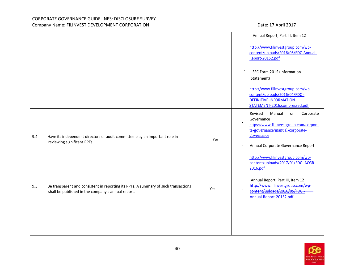|        |                                                                                                                                           |     | Annual Report, Part III, Item 12                                                                                                                                                                 |
|--------|-------------------------------------------------------------------------------------------------------------------------------------------|-----|--------------------------------------------------------------------------------------------------------------------------------------------------------------------------------------------------|
|        |                                                                                                                                           |     | http://www.filinvestgroup.com/wp-<br>content/uploads/2016/05/FDC-Annual-<br>Report-20152.pdf                                                                                                     |
|        |                                                                                                                                           |     | SEC Form 20-IS (Information<br>Statement)                                                                                                                                                        |
|        |                                                                                                                                           |     | http://www.filinvestgroup.com/wp-<br>content/uploads/2016/04/FDC -<br><b>DEFINITIVE-INFORMATION-</b><br>STATEMENT-2016.compressed.pdf                                                            |
| 9.4    | Have its independent directors or audit committee play an important role in<br>reviewing significant RPTs.                                | Yes | Revised<br>Corporate<br>Manual<br>on<br>Governance<br>$\bullet$<br>https://www.filinvestgroup.com/corpora<br>te-governance/manual-corporate-<br>governance<br>Annual Corporate Governance Report |
|        |                                                                                                                                           |     | http://www.filinvestgroup.com/wp-<br>content/uploads/2017/01/FDC-ACGR-<br>2016.pdf<br>Annual Report, Part III, Item 12                                                                           |
| $-9.5$ | Be transparent and consistent in reporting its RPTs. A summary of such transactions<br>shall be published in the company's annual report. | Yes | http://www.filinvestgroup.com/wp<br>content/uploads/2016/05/FDC<br>Annual-Report-20152.pdf                                                                                                       |
|        |                                                                                                                                           |     |                                                                                                                                                                                                  |

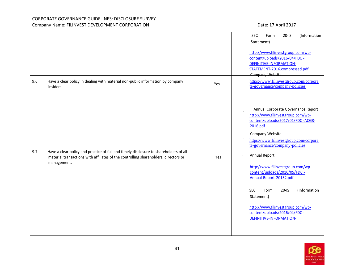|     |                                                                                                                                                                                             |     | (Information<br><b>SEC</b><br>Form<br>$20-IS$<br>Statement)<br>http://www.filinvestgroup.com/wp-<br>content/uploads/2016/04/FDC -<br>DEFINITIVE-INFORMATION-<br>STATEMENT-2016.compressed.pdf<br><b>Company Website</b>                                                                                                                                                                                                                                                                                                              |
|-----|---------------------------------------------------------------------------------------------------------------------------------------------------------------------------------------------|-----|--------------------------------------------------------------------------------------------------------------------------------------------------------------------------------------------------------------------------------------------------------------------------------------------------------------------------------------------------------------------------------------------------------------------------------------------------------------------------------------------------------------------------------------|
| 9.6 | Have a clear policy in dealing with material non-public information by company<br>insiders.                                                                                                 | Yes | https://www.filinvestgroup.com/corpora<br>te-governance/company-policies                                                                                                                                                                                                                                                                                                                                                                                                                                                             |
| 9.7 | Have a clear policy and practice of full and timely disclosure to shareholders of all<br>material transactions with affiliates of the controlling shareholders, directors or<br>management. | Yes | Annual Corporate Governance Report<br>$\bullet$<br>http://www.filinvestgroup.com/wp-<br>content/uploads/2017/01/FDC -ACGR-<br>2016.pdf<br>Company Website<br>https://www.filinvestgroup.com/corpora<br>te-governance/company-policies<br>Annual Report<br>http://www.filinvestgroup.com/wp-<br>content/uploads/2016/05/FDC -<br>Annual-Report-20152.pdf<br>(Information<br><b>SEC</b><br>Form<br>$20-IS$<br>$\bullet$<br>Statement)<br>http://www.filinvestgroup.com/wp-<br>content/uploads/2016/04/FDC -<br>DEFINITIVE-INFORMATION- |

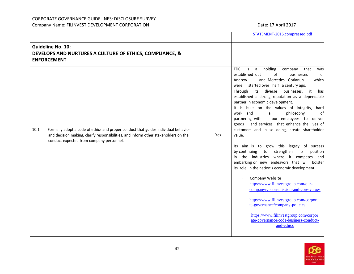|      |                                                                                                                                                                                                                       |     | STATEMENT-2016.compressed.pdf                                                                                                                                                                                                                                                                                                                                                                                                                                                                                                                                                                                                                                                                                                                                                                                                                                                                                                                                                                                                                                                                                                                |
|------|-----------------------------------------------------------------------------------------------------------------------------------------------------------------------------------------------------------------------|-----|----------------------------------------------------------------------------------------------------------------------------------------------------------------------------------------------------------------------------------------------------------------------------------------------------------------------------------------------------------------------------------------------------------------------------------------------------------------------------------------------------------------------------------------------------------------------------------------------------------------------------------------------------------------------------------------------------------------------------------------------------------------------------------------------------------------------------------------------------------------------------------------------------------------------------------------------------------------------------------------------------------------------------------------------------------------------------------------------------------------------------------------------|
|      | <b>Guideline No. 10:</b><br>DEVELOPS AND NURTURES A CULTURE OF ETHICS, COMPLIANCE, &<br><b>ENFORCEMENT</b>                                                                                                            |     |                                                                                                                                                                                                                                                                                                                                                                                                                                                                                                                                                                                                                                                                                                                                                                                                                                                                                                                                                                                                                                                                                                                                              |
| 10.1 | Formally adopt a code of ethics and proper conduct that guides individual behavior<br>and decision making, clarify responsibilities, and inform other stakeholders on the<br>conduct expected from company personnel. | Yes | holding<br><b>FDC</b><br>$\overline{is}$<br>company<br>that<br>a<br>was<br>of<br>established out<br>businesses<br>of<br>and Mercedes Gotianun<br>which<br>Andrew<br>were started over half a century ago.<br>its diverse<br>businesses,<br>it<br>Through<br>hasl<br>established a strong reputation as a dependable<br>partner in economic development.<br>It is built on the values of integrity, hard<br>work and<br>philosophy<br>a<br>ofl<br>our employees to deliver<br>partnering with<br>and services that enhance the lives of<br>goods<br>customers and in so doing, create shareholder<br>value.<br>Its aim is to grow this legacy of success<br>strengthen<br>by continuing<br>its<br>position<br>to<br>in the industries where it competes and<br>embarking on new endeavors that will bolster<br>its role in the nation's economic development.<br>Company Website<br>https://www.filinvestgroup.com/our-<br>company/vision-mission-and-core-values<br>https://www.filinvestgroup.com/corpora<br>te-governance/company-policies<br>https://www.filinvestgroup.com/corpor<br>ate-governance/code-business-conduct-<br>and-ethics |

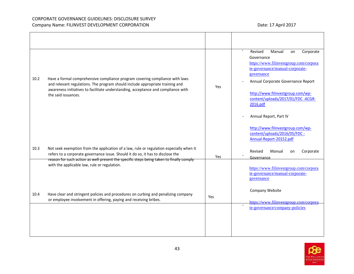| 10.2 | Have a formal comprehensive compliance program covering compliance with laws<br>and relevant regulations. The program should include appropriate training and<br>awareness initiatives to facilitate understanding, acceptance and compliance with<br>the said issuances. | Yes | Revised<br>Manual<br>Corporate<br>on<br>Governance<br>https://www.filinvestgroup.com/corpora<br>te-governance/manual-corporate-<br>governance<br>Annual Corporate Governance Report<br>http://www.filinvestgroup.com/wp-<br>content/uploads/2017/01/FDC-ACGR-<br>2016.pdf |
|------|---------------------------------------------------------------------------------------------------------------------------------------------------------------------------------------------------------------------------------------------------------------------------|-----|---------------------------------------------------------------------------------------------------------------------------------------------------------------------------------------------------------------------------------------------------------------------------|
| 10.3 | Not seek exemption from the application of a law, rule or regulation especially when it<br>refers to a corporate governance issue. Should it do so, it has to disclose the<br>reason for such action as well present the specific steps being taken to finally comply     | Yes | Annual Report, Part IV<br>http://www.filinvestgroup.com/wp-<br>content/uploads/2016/05/FDC -<br>Annual-Report-20152.pdf<br>Revised<br>Manual<br>Corporate<br>on<br>Governance                                                                                             |
| 10.4 | with the applicable law, rule or regulation.<br>Have clear and stringent policies and procedures on curbing and penalizing company                                                                                                                                        | Yes | https://www.filinvestgroup.com/corpora<br>te-governance/manual-corporate-<br>governance<br>Company Website                                                                                                                                                                |
|      | or employee involvement in offering, paying and receiving bribes.                                                                                                                                                                                                         |     | https://www.filinyestgroup.com/corpora<br>te-governance/company-policies                                                                                                                                                                                                  |

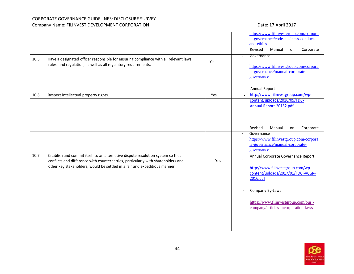|      |                                                                                                                                                                                                                                                   |     | https://www.filinvestgroup.com/corpora<br>te-governance/code-business-conduct-<br>and-ethics<br>Revised<br>Manual<br>Corporate<br>on<br>Governance                                                                                              |
|------|---------------------------------------------------------------------------------------------------------------------------------------------------------------------------------------------------------------------------------------------------|-----|-------------------------------------------------------------------------------------------------------------------------------------------------------------------------------------------------------------------------------------------------|
| 10.5 | Have a designated officer responsible for ensuring compliance with all relevant laws,<br>rules, and regulation, as well as all regulatory requirements.                                                                                           | Yes | https://www.filinvestgroup.com/corpora<br>te-governance/manual-corporate-<br>governance<br>Annual Report                                                                                                                                        |
| 10.6 | Respect intellectual property rights.                                                                                                                                                                                                             | Yes | http://www.filinvestgroup.com/wp-<br>content/uploads/2016/05/FDC-<br>Annual-Report-20152.pdf                                                                                                                                                    |
|      |                                                                                                                                                                                                                                                   |     | Revised<br>Manual<br>Corporate<br>on                                                                                                                                                                                                            |
| 10.7 | Establish and commit itself to an alternative dispute resolution system so that<br>conflicts and difference with counterparties, particularly with shareholders and<br>other key stakeholders, would be settled in a fair and expeditious manner. | Yes | Governance<br>$\bullet$<br>https://www.filinvestgroup.com/corpora<br>te-governance/manual-corporate-<br>governance<br>Annual Corporate Governance Report<br>http://www.filinvestgroup.com/wp-<br>content/uploads/2017/01/FDC -ACGR-<br>2016.pdf |
|      |                                                                                                                                                                                                                                                   |     | Company By-Laws<br>https://www.filinvestgroup.com/our -<br>company/articles-incorporation-laws                                                                                                                                                  |